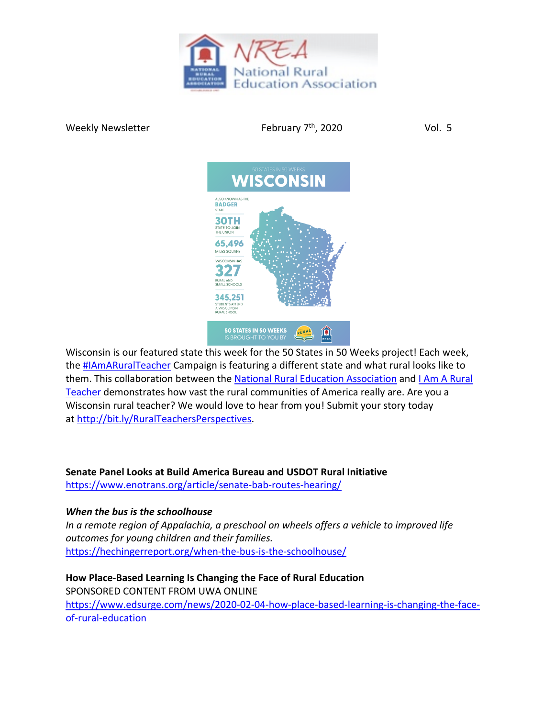

Weekly Newsletter  $V$  February  $7<sup>th</sup>$ , 2020  $V$ ol. 5



Wisconsin is our featured state this week for the 50 States in 50 Weeks project! Each week, the #IAmARuralTeacher Campaign is featuring a different state and what rural looks like to them. This collaboration between the National Rural Education Association and I Am A Rural Teacher demonstrates how vast the rural communities of America really are. Are you a Wisconsin rural teacher? We would love to hear from you! Submit your story today at http://bit.ly/RuralTeachersPerspectives.

**Senate Panel Looks at Build America Bureau and USDOT Rural Initiative**

https://www.enotrans.org/article/senate-bab-routes-hearing/

## *When the bus is the schoolhouse*

*In a remote region of Appalachia, a preschool on wheels offers a vehicle to improved life outcomes for young children and their families.* https://hechingerreport.org/when-the-bus-is-the-schoolhouse/

**How Place-Based Learning Is Changing the Face of Rural Education** SPONSORED CONTENT FROM UWA ONLINE https://www.edsurge.com/news/2020-02-04-how-place-based-learning-is-changing-the-faceof-rural-education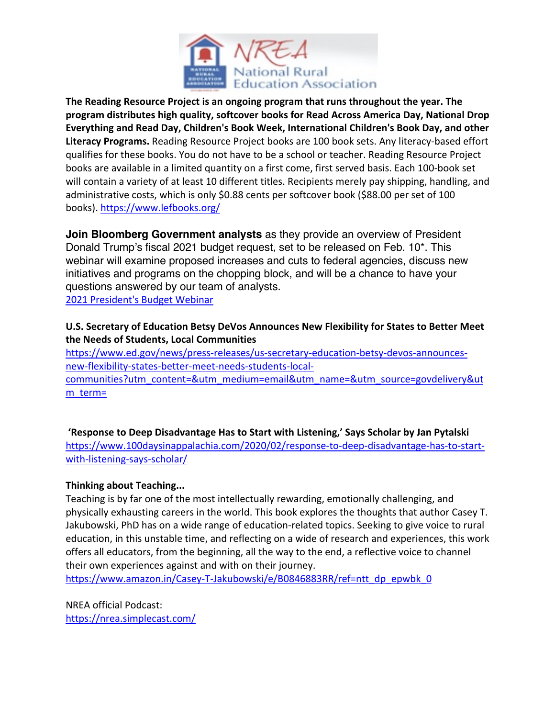

**The Reading Resource Project is an ongoing program that runs throughout the year. The program distributes high quality, softcover books for Read Across America Day, National Drop Everything and Read Day, Children's Book Week, International Children's Book Day, and other Literacy Programs.** Reading Resource Project books are 100 book sets. Any literacy-based effort qualifies for these books. You do not have to be a school or teacher. Reading Resource Project books are available in a limited quantity on a first come, first served basis. Each 100-book set will contain a variety of at least 10 different titles. Recipients merely pay shipping, handling, and administrative costs, which is only \$0.88 cents per softcover book (\$88.00 per set of 100 books). https://www.lefbooks.org/

**Join Bloomberg Government analysts** as they provide an overview of President Donald Trump's fiscal 2021 budget request, set to be released on Feb. 10\*. This webinar will examine proposed increases and cuts to federal agencies, discuss new initiatives and programs on the chopping block, and will be a chance to have your questions answered by our team of analysts. 2021 President's Budget Webinar

**U.S. Secretary of Education Betsy DeVos Announces New Flexibility for States to Better Meet** 

## **the Needs of Students, Local Communities**

https://www.ed.gov/news/press-releases/us-secretary-education-betsy-devos-announcesnew-flexibility-states-better-meet-needs-students-localcommunities?utm\_content=&utm\_medium=email&utm\_name=&utm\_source=govdelivery&ut  $m$  term=

**'Response to Deep Disadvantage Has to Start with Listening,' Says Scholar by Jan Pytalski** https://www.100daysinappalachia.com/2020/02/response-to-deep-disadvantage-has-to-startwith-listening-says-scholar/

## **Thinking about Teaching...**

Teaching is by far one of the most intellectually rewarding, emotionally challenging, and physically exhausting careers in the world. This book explores the thoughts that author Casey T. Jakubowski, PhD has on a wide range of education-related topics. Seeking to give voice to rural education, in this unstable time, and reflecting on a wide of research and experiences, this work offers all educators, from the beginning, all the way to the end, a reflective voice to channel their own experiences against and with on their journey.

https://www.amazon.in/Casey-T-Jakubowski/e/B0846883RR/ref=ntt\_dp\_epwbk\_0

NREA official Podcast: https://nrea.simplecast.com/